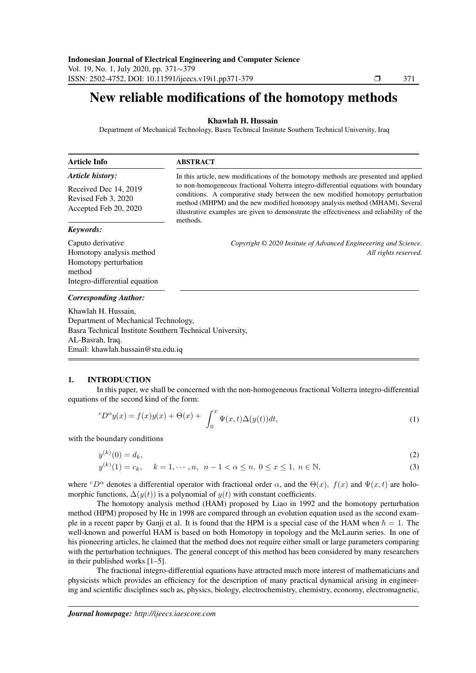# New reliable modifications of the homotopy methods

## Khawlah H. Hussain

Department of Mechanical Technology, Basra Technical Institute Southern Technical University, Iraq

| Article Info                                                          | <b>ABSTRACT</b><br>In this article, new modifications of the homotopy methods are presented and applied                                                                                                                                                                                                                                                     |  |  |
|-----------------------------------------------------------------------|-------------------------------------------------------------------------------------------------------------------------------------------------------------------------------------------------------------------------------------------------------------------------------------------------------------------------------------------------------------|--|--|
| <b>Article history:</b>                                               |                                                                                                                                                                                                                                                                                                                                                             |  |  |
| Received Dec 14, 2019<br>Revised Feb 3, 2020<br>Accepted Feb 20, 2020 | to non-homogeneous fractional Volterra integro-differential equations with boundary<br>conditions. A comparative study between the new modified homotopy perturbation<br>method (MHPM) and the new modified homotopy analysis method (MHAM). Several<br>illustrative examples are given to demonstrate the effectiveness and reliability of the<br>methods. |  |  |
| Keywords:                                                             |                                                                                                                                                                                                                                                                                                                                                             |  |  |
| Caputo derivative                                                     | Copyright © 2020 Insitute of Advanced Engineeering and Science.                                                                                                                                                                                                                                                                                             |  |  |
| Homotopy analysis method                                              | All rights reserved.                                                                                                                                                                                                                                                                                                                                        |  |  |
| Homotopy perturbation<br>method                                       |                                                                                                                                                                                                                                                                                                                                                             |  |  |
| Integro-differential equation                                         |                                                                                                                                                                                                                                                                                                                                                             |  |  |
| <b>Corresponding Author:</b>                                          |                                                                                                                                                                                                                                                                                                                                                             |  |  |
| Khawlah H. Hussain,                                                   |                                                                                                                                                                                                                                                                                                                                                             |  |  |
| Department of Mechanical Technology                                   |                                                                                                                                                                                                                                                                                                                                                             |  |  |

Department of Mechanical Technology, Basra Technical Institute Southern Technical University, AL-Basrah, Iraq. Email: khawlah.hussain@stu.edu.iq

### 1. INTRODUCTION

In this paper, we shall be concerned with the non-homogeneous fractional Volterra integro-differential equations of the second kind of the form:

$$
{}^{c}D^{\alpha}y(x) = f(x)y(x) + \Theta(x) + \int_{0}^{x} \Psi(x,t)\Delta(y(t))dt,
$$
\n(1)

with the boundary conditions

$$
y^{(k)}(0) = d_k,\tag{2}
$$

$$
y^{(k)}(1) = c_k, \quad k = 1, \cdots, n, \ n - 1 < \alpha \le n, \ 0 \le x \le 1, \ n \in \mathbb{N}, \tag{3}
$$

where  $c_D^{\alpha}$  denotes a differential operator with fractional order  $\alpha$ , and the  $\Theta(x)$ ,  $f(x)$  and  $\Psi(x, t)$  are holomorphic functions,  $\Delta(y(t))$  is a polynomial of  $y(t)$  with constant coefficients.

The homotopy analysis method (HAM) proposed by Liao in 1992 and the homotopy perturbation method (HPM) proposed by He in 1998 are compared through an evolution equation used as the second example in a recent paper by Ganji et al. It is found that the HPM is a special case of the HAM when  $\hbar = 1$ . The well-known and powerful HAM is based on both Homotopy in topology and the McLaurin series. In one of his pioneering articles, he claimed that the method does not require either small or large parameters comparing with the perturbation techniques. The general concept of this method has been considered by many researchers in their published works [1–5].

The fractional integro-differential equations have attracted much more interest of mathematicians and physicists which provides an efficiency for the description of many practical dynamical arising in engineering and scientific disciplines such as, physics, biology, electrochemistry, chemistry, economy, electromagnetic,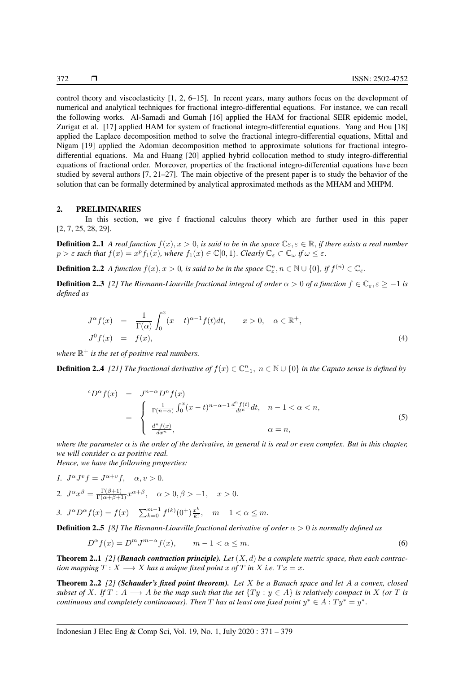control theory and viscoelasticity [1, 2, 6–15]. In recent years, many authors focus on the development of numerical and analytical techniques for fractional integro-differential equations. For instance, we can recall the following works. Al-Samadi and Gumah [16] applied the HAM for fractional SEIR epidemic model, Zurigat et al. [17] applied HAM for system of fractional integro-differential equations. Yang and Hou [18] applied the Laplace decomposition method to solve the fractional integro-differential equations, Mittal and Nigam [19] applied the Adomian decomposition method to approximate solutions for fractional integrodifferential equations. Ma and Huang [20] applied hybrid collocation method to study integro-differential equations of fractional order. Moreover, properties of the fractional integro-differential equations have been studied by several authors [7, 21–27]. The main objective of the present paper is to study the behavior of the solution that can be formally determined by analytical approximated methods as the MHAM and MHPM.

#### 2. PRELIMINARIES

In this section, we give f fractional calculus theory which are further used in this paper [2, 7, 25, 28, 29].

**Definition 2..1** *A real function*  $f(x), x > 0$ , *is said to be in the space*  $\mathbb{C}\varepsilon, \varepsilon \in \mathbb{R}$ , *if there exists a real number*  $p > \varepsilon$  such that  $f(x) = x^p f_1(x)$ , where  $f_1(x) \in \mathbb{C}[0,1)$ . *Clearly*  $\mathbb{C}_{\varepsilon} \subset \mathbb{C}_{\omega}$  if  $\omega \leq \varepsilon$ .

**Definition 2..2** *A function*  $f(x)$ ,  $x > 0$ , is said to be in the space  $\mathbb{C}_{\varepsilon}^n$ ,  $n \in \mathbb{N} \cup \{0\}$ , if  $f^{(n)} \in \mathbb{C}_{\varepsilon}$ .

**Definition 2..3** *[2] The Riemann-Liouville fractional integral of order*  $\alpha > 0$  *of a function*  $f \in \mathbb{C}_{\epsilon}, \epsilon \geq -1$  *is defined as*

$$
J^{\alpha}f(x) = \frac{1}{\Gamma(\alpha)} \int_0^x (x - t)^{\alpha - 1} f(t) dt, \qquad x > 0, \quad \alpha \in \mathbb{R}^+,
$$
  

$$
J^0 f(x) = f(x), \tag{4}
$$

where  $\mathbb{R}^+$  is the set of positive real numbers.

**Definition 2..4** [21] The fractional derivative of  $f(x) \in \mathbb{C}_{-1}^n$ ,  $n \in \mathbb{N} \cup \{0\}$  in the Caputo sense is defined by

$$
{}^{c}D^{\alpha}f(x) = J^{n-\alpha}D^{n}f(x)
$$
  
= 
$$
\begin{cases} \frac{1}{\Gamma(n-\alpha)} \int_{0}^{x} (x-t)^{n-\alpha-1} \frac{d^{n}f(t)}{dt^{n}} dt, & n-1 < \alpha < n, \\ \frac{d^{n}f(x)}{dx^{n}}, & \alpha = n, \end{cases}
$$
(5)

*where the parameter* α *is the order of the derivative, in general it is real or even complex. But in this chapter, we will consider* α *as positive real.*

*Hence, we have the following properties:*

- *1.*  $J^{\alpha}J^{\nu}f = J^{\alpha+\nu}f, \quad \alpha, \nu > 0.$
- 2.  $J^{\alpha}x^{\beta} = \frac{\Gamma(\beta+1)}{\Gamma(\alpha+\beta+1)}x^{\alpha+\beta}, \quad \alpha > 0, \beta > -1, \quad x > 0.$

3. 
$$
J^{\alpha}D^{\alpha}f(x) = f(x) - \sum_{k=0}^{m-1} f^{(k)}(0^+) \frac{x^k}{k!}, \quad m-1 < \alpha \leq m.
$$

**Definition 2..5** *[8] The Riemann-Liouville fractional derivative of order*  $\alpha > 0$  *is normally defined as* 

$$
D^{\alpha}f(x) = D^m J^{m-\alpha}f(x), \qquad m-1 < \alpha \le m.
$$
 (6)

**Theorem 2..1** [2] *(Banach contraction principle).* Let  $(X, d)$  be a complete metric space, then each contrac*tion mapping*  $T : X \longrightarrow X$  *has a unique fixed point* x of T *in* X *i.e.*  $Tx = x$ .

Theorem 2..2 *[2] (Schauder's fixed point theorem). Let* X *be a Banach space and let* A *a convex, closed subset of* X. If  $T : A \longrightarrow A$  *be the map such that the set*  $\{Ty : y \in A\}$  *is relatively compact in* X *(or* T *is continuous and completely continouous). Then* T *has at least one fixed point*  $y^* \in A : Ty^* = y^*$ .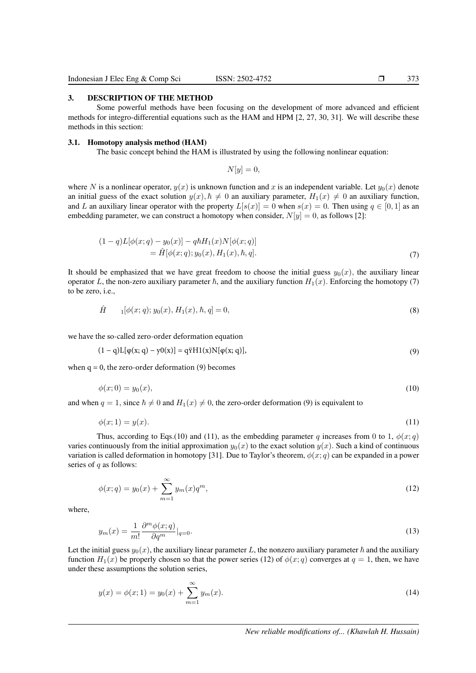3. DESCRIPTION OF THE METHOD

Some powerful methods have been focusing on the development of more advanced and efficient methods for integro-differential equations such as the HAM and HPM [2, 27, 30, 31]. We will describe these methods in this section:

#### 3.1. Homotopy analysis method (HAM)

The basic concept behind the HAM is illustrated by using the following nonlinear equation:

 $N[y] = 0,$ 

where N is a nonlinear operator,  $y(x)$  is unknown function and x is an independent variable. Let  $y_0(x)$  denote an initial guess of the exact solution  $y(x)$ ,  $\hbar \neq 0$  an auxiliary parameter,  $H_1(x) \neq 0$  an auxiliary function, and L an auxiliary linear operator with the property  $L[s(x)] = 0$  when  $s(x) = 0$ . Then using  $q \in [0, 1]$  as an embedding parameter, we can construct a homotopy when consider,  $N[y] = 0$ , as follows [2]:

$$
(1-q)L[\phi(x;q) - y_0(x)] - q\hbar H_1(x)N[\phi(x;q)]
$$
  
=  $\hat{H}[\phi(x;q); y_0(x), H_1(x), \hbar, q].$  (7)

It should be emphasized that we have great freedom to choose the initial guess  $y_0(x)$ , the auxiliary linear operator L, the non-zero auxiliary parameter  $\hbar$ , and the auxiliary function  $H_1(x)$ . Enforcing the homotopy (7) to be zero, i.e.,

$$
\hat{H} \qquad 1[\phi(x;q); y_0(x), H_1(x), \hbar, q] = 0,\tag{8}
$$

we have the so-called zero-order deformation equation

$$
(1 - q)L[\phi(x; q) - y0(x)] = q\ddot{r}H1(x)N[\phi(x; q)],
$$
\n(9)

when  $q = 0$ , the zero-order deformation (9) becomes

$$
\phi(x;0) = y_0(x),\tag{10}
$$

and when  $q = 1$ , since  $\hbar \neq 0$  and  $H_1(x) \neq 0$ , the zero-order deformation (9) is equivalent to

$$
\phi(x;1) = y(x). \tag{11}
$$

Thus, according to Eqs.(10) and (11), as the embedding parameter q increases from 0 to 1,  $\phi(x; q)$ varies continuously from the initial approximation  $y_0(x)$  to the exact solution  $y(x)$ . Such a kind of continuous variation is called deformation in homotopy [31]. Due to Taylor's theorem,  $\phi(x; q)$  can be expanded in a power series of  $q$  as follows:

$$
\phi(x;q) = y_0(x) + \sum_{m=1}^{\infty} y_m(x) q^m,
$$
\n(12)

where,

$$
y_m(x) = \frac{1}{m!} \frac{\partial^m \phi(x; q)}{\partial q^m} \Big|_{q=0}.
$$
\n(13)

Let the initial guess  $y_0(x)$ , the auxiliary linear parameter L, the nonzero auxiliary parameter  $\hbar$  and the auxiliary function  $H_1(x)$  be properly chosen so that the power series (12) of  $\phi(x; q)$  converges at  $q = 1$ , then, we have under these assumptions the solution series,

$$
y(x) = \phi(x; 1) = y_0(x) + \sum_{m=1}^{\infty} y_m(x).
$$
 (14)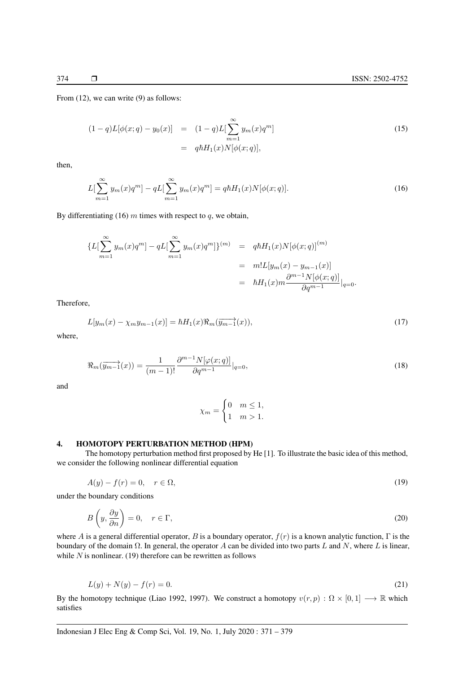From (12), we can write (9) as follows:

$$
(1-q)L[\phi(x;q) - y_0(x)] = (1-q)L[\sum_{m=1}^{\infty} y_m(x)q^m]
$$
  
=  $q\hbar H_1(x)N[\phi(x;q)],$  (15)

then,

$$
L[\sum_{m=1}^{\infty} y_m(x)q^m] - qL[\sum_{m=1}^{\infty} y_m(x)q^m] = q\hbar H_1(x)N[\phi(x;q)].
$$
\n(16)

By differentiating (16)  $m$  times with respect to  $q$ , we obtain,

$$
\{L[\sum_{m=1}^{\infty} y_m(x)q^m] - qL[\sum_{m=1}^{\infty} y_m(x)q^m]\}^{(m)} = q\hbar H_1(x)N[\phi(x;q)]^{(m)}
$$
  

$$
= m!L[y_m(x) - y_{m-1}(x)]
$$
  

$$
= \hbar H_1(x)m\frac{\partial^{m-1}N[\phi(x;q)]}{\partial q^{m-1}}|_{q=0}.
$$

Therefore,

$$
L[y_m(x) - \chi_m y_{m-1}(x)] = \hbar H_1(x) \Re_m(\overrightarrow{y_{m-1}}(x)),
$$
\n(17)

where,

$$
\Re_m(\overrightarrow{y_{m-1}}(x)) = \frac{1}{(m-1)!} \frac{\partial^{m-1} N[\varphi(x;q)]}{\partial q^{m-1}}|_{q=0},\tag{18}
$$

and

$$
\chi_m = \begin{cases} 0 & m \le 1, \\ 1 & m > 1. \end{cases}
$$

#### 4. HOMOTOPY PERTURBATION METHOD (HPM)

The homotopy perturbation method first proposed by He [1]. To illustrate the basic idea of this method, we consider the following nonlinear differential equation

$$
A(y) - f(r) = 0, \quad r \in \Omega,
$$
\n<sup>(19)</sup>

under the boundary conditions

$$
B\left(y, \frac{\partial y}{\partial n}\right) = 0, \quad r \in \Gamma,
$$
\n(20)

where A is a general differential operator, B is a boundary operator,  $f(r)$  is a known analytic function,  $\Gamma$  is the boundary of the domain  $\Omega$ . In general, the operator A can be divided into two parts L and N, where L is linear, while  $N$  is nonlinear. (19) therefore can be rewritten as follows

$$
L(y) + N(y) - f(r) = 0.
$$
\n(21)

By the homotopy technique (Liao 1992, 1997). We construct a homotopy  $v(r, p) : \Omega \times [0, 1] \longrightarrow \mathbb{R}$  which satisfies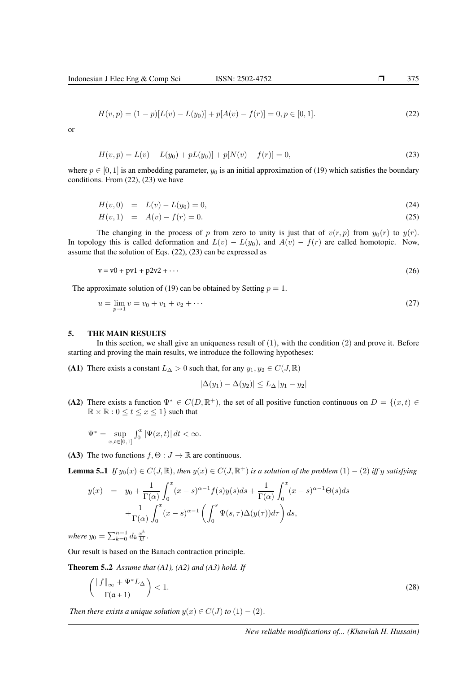$$
H(v,p) = (1-p)[L(v) - L(y0)] + p[A(v) - f(r)] = 0, p \in [0,1].
$$
\n(22)

or

$$
H(v, p) = L(v) - L(y0) + pL(y0)] + p[N(v) - f(r)] = 0,
$$
\n(23)

where  $p \in [0, 1]$  is an embedding parameter,  $y_0$  is an initial approximation of (19) which satisfies the boundary conditions. From (22), (23) we have

$$
H(v,0) = L(v) - L(y_0) = 0,
$$
\n(24)

$$
H(v,1) = A(v) - f(r) = 0.
$$
\n(25)

The changing in the process of p from zero to unity is just that of  $v(r, p)$  from  $y_0(r)$  to  $y(r)$ . In topology this is called deformation and  $L(v) - L(y_0)$ , and  $A(v) - f(r)$  are called homotopic. Now, assume that the solution of Eqs. (22), (23) can be expressed as

$$
v = v0 + pv1 + p2v2 + \cdots \tag{26}
$$

The approximate solution of (19) can be obtained by Setting  $p = 1$ .

$$
u = \lim_{p \to 1} v = v_0 + v_1 + v_2 + \dots \tag{27}
$$

#### 5. THE MAIN RESULTS

In this section, we shall give an uniqueness result of  $(1)$ , with the condition  $(2)$  and prove it. Before starting and proving the main results, we introduce the following hypotheses:

(A1) There exists a constant  $L_{\Delta} > 0$  such that, for any  $y_1, y_2 \in C(J, \mathbb{R})$ 

$$
|\Delta(y_1) - \Delta(y_2)| \le L_\Delta |y_1 - y_2|
$$

(A2) There exists a function  $\Psi^* \in C(D, \mathbb{R}^+)$ , the set of all positive function continuous on  $D = \{(x, t) \in$  $\mathbb{R} \times \mathbb{R} : 0 \le t \le x \le 1$  such that

$$
\Psi^* = \sup_{x,t \in [0,1]} \int_0^x |\Psi(x,t)| \, dt < \infty.
$$

(A3) The two functions  $f, \Theta : J \to \mathbb{R}$  are continuous.

**Lemma 5..1** If  $y_0(x) \in C(J, \mathbb{R})$ , then  $y(x) \in C(J, \mathbb{R}^+)$  is a solution of the problem  $(1) - (2)$  iff y satisfying

$$
y(x) = y_0 + \frac{1}{\Gamma(\alpha)} \int_0^x (x - s)^{\alpha - 1} f(s) y(s) ds + \frac{1}{\Gamma(\alpha)} \int_0^x (x - s)^{\alpha - 1} \Theta(s) ds
$$
  
+ 
$$
\frac{1}{\Gamma(\alpha)} \int_0^x (x - s)^{\alpha - 1} \left( \int_0^s \Psi(s, \tau) \Delta(y(\tau)) d\tau \right) ds,
$$

*where*  $y_0 = \sum_{k=0}^{n-1} d_k \frac{x^k}{k!}$  $\frac{x^{n}}{k!}$ .

Our result is based on the Banach contraction principle.

Theorem 5..2 *Assume that (A1), (A2) and (A3) hold. If*

$$
\left(\frac{\|f\|_{\infty} + \Psi^* L_{\Delta}}{\Gamma(\alpha + 1)}\right) < 1. \tag{28}
$$

*Then there exists a unique solution*  $y(x) \in C(J)$  *to*  $(1) - (2)$ .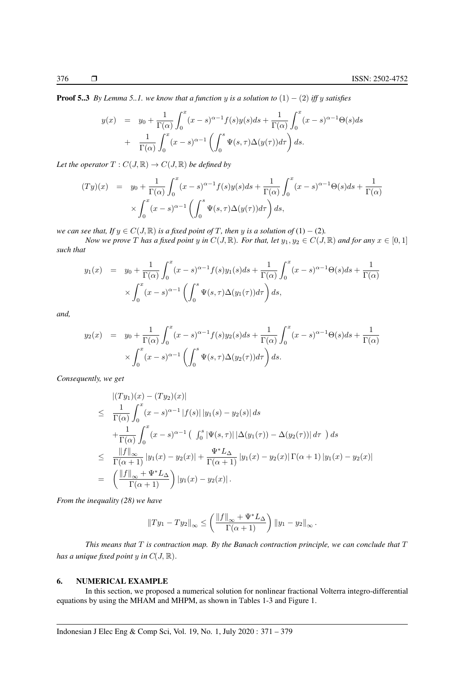**Proof 5..3** *By Lemma 5..1. we know that a function y is a solution to*  $(1) - (2)$  *iff y satisfies* 

$$
y(x) = y_0 + \frac{1}{\Gamma(\alpha)} \int_0^x (x - s)^{\alpha - 1} f(s) y(s) ds + \frac{1}{\Gamma(\alpha)} \int_0^x (x - s)^{\alpha - 1} \Theta(s) ds
$$
  
+ 
$$
\frac{1}{\Gamma(\alpha)} \int_0^x (x - s)^{\alpha - 1} \left( \int_0^s \Psi(s, \tau) \Delta(y(\tau)) d\tau \right) ds.
$$

*Let the operator*  $T: C(J, \mathbb{R}) \to C(J, \mathbb{R})$  *be defined by* 

$$
(Ty)(x) = y_0 + \frac{1}{\Gamma(\alpha)} \int_0^x (x - s)^{\alpha - 1} f(s)y(s)ds + \frac{1}{\Gamma(\alpha)} \int_0^x (x - s)^{\alpha - 1} \Theta(s)ds + \frac{1}{\Gamma(\alpha)}
$$

$$
\times \int_0^x (x - s)^{\alpha - 1} \left( \int_0^s \Psi(s, \tau) \Delta(y(\tau)) d\tau \right) ds,
$$

*we can see that, If*  $y \in C(J, \mathbb{R})$  *is a fixed point of*  $T$ *, then*  $y$  *is a solution of* (1) – (2)*.* 

*Now we prove* T has a fixed point y in  $C(J, \mathbb{R})$ *. For that, let*  $y_1, y_2 \in C(J, \mathbb{R})$  and for any  $x \in [0, 1]$ *such that*

$$
y_1(x) = y_0 + \frac{1}{\Gamma(\alpha)} \int_0^x (x - s)^{\alpha - 1} f(s) y_1(s) ds + \frac{1}{\Gamma(\alpha)} \int_0^x (x - s)^{\alpha - 1} \Theta(s) ds + \frac{1}{\Gamma(\alpha)}
$$
  
\$\times \int\_0^x (x - s)^{\alpha - 1} \left( \int\_0^s \Psi(s, \tau) \Delta(y\_1(\tau)) d\tau \right) ds\$,

*and,*

$$
y_2(x) = y_0 + \frac{1}{\Gamma(\alpha)} \int_0^x (x - s)^{\alpha - 1} f(s) y_2(s) ds + \frac{1}{\Gamma(\alpha)} \int_0^x (x - s)^{\alpha - 1} \Theta(s) ds + \frac{1}{\Gamma(\alpha)}
$$
  
\$\times \int\_0^x (x - s)^{\alpha - 1} \left( \int\_0^s \Psi(s, \tau) \Delta(y\_2(\tau)) d\tau \right) ds.\$

*Consequently, we get*

$$
\begin{split}\n&|\left(Ty_{1}\right)(x)-\left(Ty_{2}\right)(x)| \\
&\leq \frac{1}{\Gamma(\alpha)} \int_{0}^{x} (x-s)^{\alpha-1} |f(s)| |y_{1}(s)-y_{2}(s)| ds \\
&+\frac{1}{\Gamma(\alpha)} \int_{0}^{x} (x-s)^{\alpha-1} \left( \int_{0}^{s} |\Psi(s,\tau)| |\Delta(y_{1}(\tau)) - \Delta(y_{2}(\tau))| d\tau \right) ds \\
&\leq \frac{||f||_{\infty}}{\Gamma(\alpha+1)} |y_{1}(x)-y_{2}(x)| + \frac{\Psi^{*}L_{\Delta}}{\Gamma(\alpha+1)} |y_{1}(x)-y_{2}(x)| \Gamma(\alpha+1) |y_{1}(x)-y_{2}(x)| \\
&=\left( \frac{||f||_{\infty} + \Psi^{*}L_{\Delta}}{\Gamma(\alpha+1)} \right) |y_{1}(x)-y_{2}(x)|.\n\end{split}
$$

*From the inequality (28) we have*

$$
||Ty_1 - Ty_2||_{\infty} \le \left(\frac{||f||_{\infty} + \Psi^* L_{\Delta}}{\Gamma(\alpha + 1)}\right) ||y_1 - y_2||_{\infty}.
$$

*This means that* T *is contraction map. By the Banach contraction principle, we can conclude that* T *has a unique fixed point y in*  $C(J, \mathbb{R})$ .

# 6. NUMERICAL EXAMPLE

In this section, we proposed a numerical solution for nonlinear fractional Volterra integro-differential equations by using the MHAM and MHPM, as shown in Tables 1-3 and Figure 1.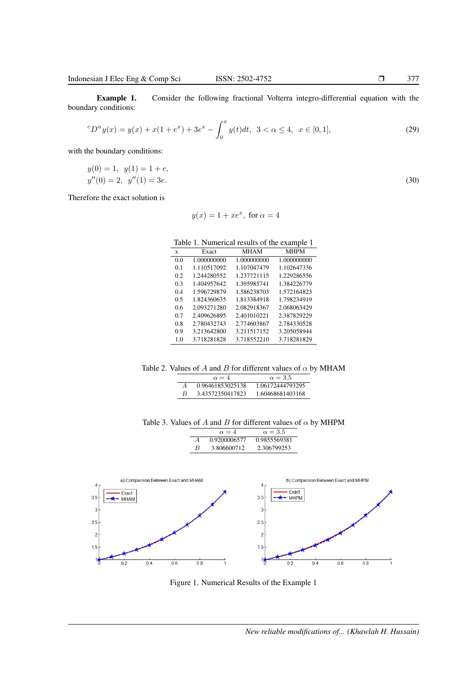Example 1. Consider the following fractional Volterra integro-differential equation with the boundary conditions:

$$
{}^{c}D^{\alpha}y(x) = y(x) + x(1 + e^{x}) + 3e^{x} - \int_{0}^{x} y(t)dt, \ \ 3 < \alpha \le 4, \ \ x \in [0, 1], \tag{29}
$$

with the boundary conditions:

 $y(0) = 1, \ y(1) = 1 + e,$  $y''(0) = 2, \ y''(1) = 3e.$  (30)

Therefore the exact solution is

$$
y(x) = 1 + xe^x, \text{ for } \alpha = 4
$$

Table 1. Numerical results of the example 1

| X              | Exact       | MHAM        | <b>MHPM</b> |
|----------------|-------------|-------------|-------------|
| 0 <sub>0</sub> | 1.000000000 | 1.000000000 | 1.000000000 |
| 0.1            | 1.110517092 | 1.107047479 | 1.102647336 |
| 0.2            | 1.244280552 | 1.237721115 | 1.229286556 |
| 0 <sup>3</sup> | 1.404957642 | 1.395985741 | 1.384226779 |
| 0.4            | 1.596729879 | 1.586238703 | 1.572164823 |
| 0.5            | 1.824360635 | 1.813384918 | 1.798234919 |
| 0.6            | 2.093271280 | 2.082918367 | 2.068063429 |
| 0.7            | 2.409626895 | 2.401010221 | 2.387829229 |
| 0.8            | 2.780432743 | 2.774603867 | 2.784330528 |
| 09             | 3.213642800 | 3.211517152 | 3.205058944 |
| 1.0            | 3.718281828 | 3.718552210 | 3.718281829 |

Table 2. Values of A and B for different values of  $\alpha$  by MHAM

|          | $\alpha = 4$     | $\alpha = 3.5$   |  |
|----------|------------------|------------------|--|
| $\bm{A}$ | 0.96461853025138 | 1.06172444793295 |  |
| R        | 3.43572350417823 | 1.60468681403168 |  |

|  |  |  | Table 3. Values of A and B for different values of $\alpha$ by MHPM |  |  |
|--|--|--|---------------------------------------------------------------------|--|--|
|--|--|--|---------------------------------------------------------------------|--|--|

 $\alpha = 4$   $\alpha = 3.5$ 



Figure 1. Numerical Results of the Example 1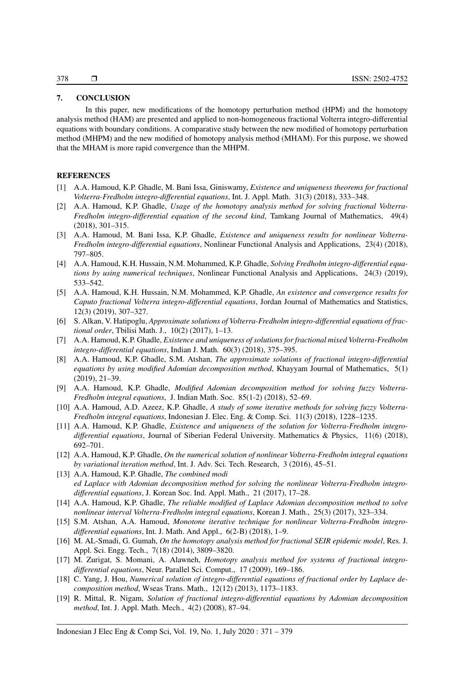# 7. CONCLUSION

In this paper, new modifications of the homotopy perturbation method (HPM) and the homotopy analysis method (HAM) are presented and applied to non-homogeneous fractional Volterra integro-differential equations with boundary conditions. A comparative study between the new modified of homotopy perturbation method (MHPM) and the new modified of homotopy analysis method (MHAM). For this purpose, we showed that the MHAM is more rapid convergence than the MHPM.

## **REFERENCES**

- [1] A.A. Hamoud, K.P. Ghadle, M. Bani Issa, Giniswamy, *Existence and uniqueness theorems for fractional Volterra-Fredholm integro-differential equations*, Int. J. Appl. Math. 31(3) (2018), 333–348.
- [2] A.A. Hamoud, K.P. Ghadle, *Usage of the homotopy analysis method for solving fractional Volterra-Fredholm integro-differential equation of the second kind*, Tamkang Journal of Mathematics, 49(4) (2018), 301–315.
- [3] A.A. Hamoud, M. Bani Issa, K.P. Ghadle, *Existence and uniqueness results for nonlinear Volterra-Fredholm integro-differential equations*, Nonlinear Functional Analysis and Applications, 23(4) (2018), 797–805.
- [4] A.A. Hamoud, K.H. Hussain, N.M. Mohammed, K.P. Ghadle, *Solving Fredholm integro-differential equations by using numerical techniques*, Nonlinear Functional Analysis and Applications, 24(3) (2019), 533–542.
- [5] A.A. Hamoud, K.H. Hussain, N.M. Mohammed, K.P. Ghadle, *An existence and convergence results for Caputo fractional Volterra integro-differential equations*, Jordan Journal of Mathematics and Statistics, 12(3) (2019), 307–327.
- [6] S. Alkan, V. Hatipoglu, *Approximate solutions of Volterra-Fredholm integro-differential equations of fractional order*, Tbilisi Math. J., 10(2) (2017), 1–13.
- [7] A.A. Hamoud, K.P. Ghadle, *Existence and uniqueness of solutions for fractional mixed Volterra-Fredholm integro-differential equations*, Indian J. Math. 60(3) (2018), 375–395.
- [8] A.A. Hamoud, K.P. Ghadle, S.M. Atshan, *The approximate solutions of fractional integro-differential equations by using modified Adomian decomposition method*, Khayyam Journal of Mathematics, 5(1) (2019), 21–39.
- [9] A.A. Hamoud, K.P. Ghadle, *Modified Adomian decomposition method for solving fuzzy Volterra-Fredholm integral equations*, J. Indian Math. Soc. 85(1-2) (2018), 52–69.
- [10] A.A. Hamoud, A.D. Azeez, K.P. Ghadle, *A study of some iterative methods for solving fuzzy Volterra-Fredholm integral equations*, Indonesian J. Elec. Eng. & Comp. Sci. 11(3) (2018), 1228–1235.
- [11] A.A. Hamoud, K.P. Ghadle, *Existence and uniqueness of the solution for Volterra-Fredholm integrodifferential equations*, Journal of Siberian Federal University. Mathematics & Physics, 11(6) (2018), 692–701.
- [12] A.A. Hamoud, K.P. Ghadle, *On the numerical solution of nonlinear Volterra-Fredholm integral equations by variational iteration method*, Int. J. Adv. Sci. Tech. Research, 3 (2016), 45–51.
- [13] A.A. Hamoud, K.P. Ghadle, *The combined modi ed Laplace with Adomian decomposition method for solving the nonlinear Volterra-Fredholm integrodifferential equations*, J. Korean Soc. Ind. Appl. Math., 21 (2017), 17–28.
- [14] A.A. Hamoud, K.P. Ghadle, *The reliable modified of Laplace Adomian decomposition method to solve nonlinear interval Volterra-Fredholm integral equations*, Korean J. Math., 25(3) (2017), 323–334.
- [15] S.M. Atshan, A.A. Hamoud, *Monotone iterative technique for nonlinear Volterra-Fredholm integrodifferential equations*, Int. J. Math. And Appl., 6(2-B) (2018), 1–9.
- [16] M. AL-Smadi, G. Gumah, *On the homotopy analysis method for fractional SEIR epidemic model*, Res. J. Appl. Sci. Engg. Tech., 7(18) (2014), 3809–3820.
- [17] M. Zurigat, S. Momani, A. Alawneh, *Homotopy analysis method for systems of fractional integrodifferential equations*, Neur. Parallel Sci. Comput., 17 (2009), 169–186.
- [18] C. Yang, J. Hou, *Numerical solution of integro-differential equations of fractional order by Laplace decomposition method*, Wseas Trans. Math., 12(12) (2013), 1173–1183.
- [19] R. Mittal, R. Nigam, *Solution of fractional integro-differential equations by Adomian decomposition method*, Int. J. Appl. Math. Mech., 4(2) (2008), 87–94.